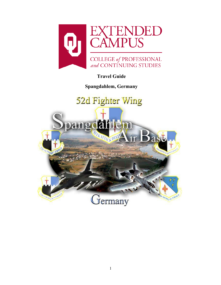

# **Travel Guide**

**Spangdahlem, Germany**

# 52d Fighter Wing

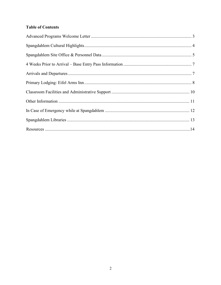# **Table of Contents**

<span id="page-1-0"></span>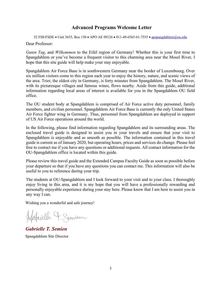# **Advanced Programs Welcome Letter**

52 FSS/FSDE • Unit 3655, Box 150 • APO AE 09126 • 011-49-6565-61-7555 • [apspangdahlem@ou.edu](mailto:apspangdahlem@ou.edu)

Dear Professor:

*Guten Tag*, and *Wilkommen* to the Eifel region of Germany! Whether this is your first time to Spangdahlem or you've become a frequent visitor to this charming area near the Mosel River, I hope that this site guide will help make your stay enjoyable.

Spangdahlem Air Force Base is in southwestern Germany near the border of Luxembourg. Over six million visitors come to this region each year to enjoy the history, nature, and scenic views of the area. Trier, the oldest city in Germany, is forty minutes from Spangdahlem. The Mosel River, with its picturesque villages and famous wines, flows nearby. Aside from this guide, additional information regarding local areas of interest is available for you in the Spangdahlem OU field office.

The OU student body at Spangdahlem is comprised of Air Force active duty personnel, family members, and civilian personnel. Spangdahlem Air Force Base is currently the only United States Air Force fighter wing in Germany. Thus, personnel from Spangdahlem are deployed in support of US Air Force operations around the world.

In the following, please find information regarding Spangdahlem and its surrounding areas. The enclosed travel guide is designed to assist you in your travels and ensure that your visit to Spangdahlem is enjoyable and as smooth as possible. The information contained in this travel guide is current as of January 2020, but operating hours, prices and services do change. Please feel free to contact me if you have any questions or additional requests. All contact information for the OU-Spangdahlem office is located within this guide.

Please review this travel guide and the Extended Campus Faculty Guide as soon as possible before your departure so that if you have any questions you can contact me. This information will also be useful to you to reference during your trip.

The students at OU-Spangdahlem and I look forward to your visit and to your class. I thoroughly enjoy living in this area, and it is my hope that you will have a professionally rewarding and personally enjoyable experience during your stay here. Please know that I am here to assist you in any way I can.

Wishing you a wonderful and safe journey!

Hatrielle 4. Senien

*Gabrielle T. Semien* Spangdahlem Site Director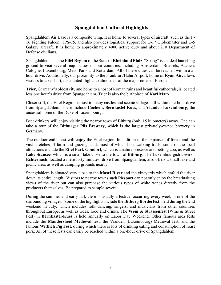# **Spangdahlem Cultural Highlights**

<span id="page-3-1"></span><span id="page-3-0"></span>Spangdahlem Air Base is a composite wing. It is home to several types of aircraft, such as the F-16 Fighting Falcon, TPS-75, and also provides logistical support for C-17 Globemaster and C-5 Galaxy aircraft. It is home to approximately 4000 active duty and about 210 Department of Defense civilians.

Spangdahlem is in the **Eifel Region** of the State of **Rheinland Pfalz**. "Spang" is an ideal launching ground to visit several major cities in four countries, including Amsterdam, Brussels, Aachen, Cologne, Luxembourg, Metz, Paris and Rotterdam. All of these cities can be reached within a 5 hour drive. Additionally, our proximity to the Frankfurt/Hahn Airport, home of **Ryan Air**, allows visitors to take short, discounted flights to almost all of the major cities of Europe.

**Trier,** Germany's oldest city and home to a host of Roman ruins and beautiful cathedrals, islocated less one hour's drive from Spangdahlem. Trier is also the birthplace of **Karl Marx**.

Closer still, the Eifel Region is host to many castles and scenic villages, all within one-hour drive from Spangdahlem. These include **Cochem, Bernkastel Kues**, and **Vianden Luxembourg**, the ancestral home of the Duke of Luxembourg.

Beer drinkers will enjoy visiting the nearby town of Bitburg (only 15 kilometers) away. One can take a tour of the **Bitburger Pils Brewery**, which is the largest privately-owned brewery in Germany.

The outdoor enthusiast will enjoy the Eifel region. In addition to the expanses of forest and the vast stretches of farm and grazing land, most of which host walking trails, some of the local attractions include the **Eifel Park Gondorf**, which is a nature preserve and petting zoo, as well as **Lake Stausee**, which is a small lake close to the town of **Bitburg**. The Luxembourgish town of **Echternach**, located a mere forty minutes' drive from Spangdahlem, also offers a small lake and picnic area, as well as camping grounds nearby.

Spangdahlem is situated very close to the **Mosel River** and the vineyards which enfold the river down its entire length. Visitors to nearby towns such **Piesport** can not only enjoy the breathtaking views of the river but can also purchase the various types of white wines directly from the producers themselves. Be prepared to sample several.

During the summer and early fall, there is usually a festival occurring every week in one of the surrounding villages. Some of the highlights include the **Bitburg Borderfest**, held during the 2nd weekend in July, which includes folk dancing, singers, and musicians from other countries throughout Europe, as well as rides, food and drinks. The **Wein & Strassenfest** (Wine & Street Fest) in **Bernkastel-Kues** is held annually on Labor Day Weekend. Other famous area fests include the **Mandersheid Medieval** fest, the Vianden (Luxembourg) Medieval fest, and the famous **Wittlich Pig Fest**, during which there is lots of drinking eating and consumption of roast pork. All of these fests can easily be reached within a one-hour drive of Spangdahlem.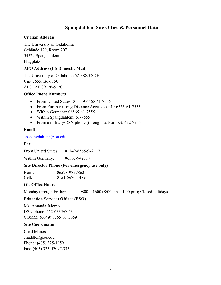# **Spangdahlem Site Office & Personnel Data**

#### **Civilian Address**

The University of Oklahoma Gebäude 129, Room 207 54529 Spangdahlem Flugplatz

## **APO Address (US Domestic Mail)**

The University of Oklahoma 52 FSS/FSDE Unit 2655, Box 150 APO, AE 09126-5120

#### **Office Phone Numbers**

- From United States: 011-49-6565-61-7555
- From Europe: (Long Distance Access #) +49-6565-61-7555
- Within Germany: 06565-61-7555
- Within Spangdahlem: 61-7555
- From a military/DSN phone (throughout Europe): 452-7555

#### **Email**

#### [apspangdahlem@ou.edu](mailto:apspangdahlem@ou.edu)

## **Fax**

From United States: 01149-6565-942117

Within Germany: 06565-942117

#### **Site Director Phone (For emergency use only)**

| Home: | 06578-9857862  |
|-------|----------------|
| Cell: | 0151-5670-1489 |

## **OU Office Hours**

Monday through Friday:  $0800 - 1600 (8:00 \text{ am} - 4:00 \text{ pm})$ ; Closed holidays

## **Education Services Officer (ESO)**

Ms. Amanda Jalomo DSN phone: 452-6335/6063 COMM: (0049) 6565-61-5669

#### **Site Coordinator**

Chad Manos chaddles@ou.edu Phone: (405) 325-1959 Fax: (405) 325-5709/3335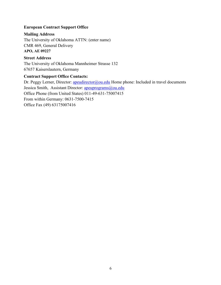#### **European Contract Support Office**

#### **Mailing Address**

The University of Oklahoma ATTN: (enter name) CMR 469, General Delivery **APO, AE 09227**

#### **Street Address**

The University of Oklahoma Mannheimer Strasse 132 67657 Kaiserslautern, Germany

## **Contract Support Office Contacts:**

Dr. Peggy Lerner, Director: *apeudirector@ou.edu* Home phone: Included in travel documents Jessica Smith, Assistant Director: [apeuprograms@ou.edu](mailto:apeuprograms@ou.edu) Office Phone (from United States) 011-49-631-75007415 From within Germany: 0631-7500-7415 Office Fax (49) 63175007416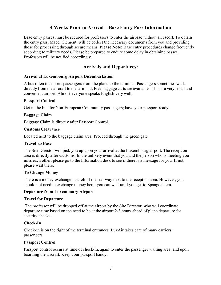# **4 Weeks Prior to Arrival – Base Entry Pass Information**

<span id="page-6-0"></span>Base entry passes must be secured for professors to enter the airbase without an escort. To obtain the entry pass, Macci Clement will be collect the necessary documents from you and providing those for processing through secure means. **Please Note:** Base entry procedures change frequently according to military needs. Please be prepared to endure some delay in obtaining passes. Professors will be notified accordingly.

# <span id="page-6-1"></span>**Arrivals and Departures:**

#### **Arrival at Luxembourg Airport Disembarkation**

A bus often transports passengers from the plane to the terminal. Passengers sometimes walk directly from the aircraft to the terminal. Free baggage carts are available. This is a very small and convenient airport. Almost everyone speaks English very well.

#### **Passport Control**

Get in the line for Non-European Community passengers; have your passport ready.

#### **Baggage Claim**

Baggage Claim is directly after Passport Control.

#### **Customs Clearance**

Located next to the baggage claim area. Proceed through the green gate.

#### **Travel to Base**

The Site Director will pick you up upon your arrival at the Luxembourg airport. The reception area is directly after Customs. In the unlikely event that you and the person who is meeting you miss each other, please go to the Information desk to see if there is a message for you. If not, please wait there.

#### **To Change Money**

There is a money exchange just left of the stairway next to the reception area. However, you should not need to exchange money here; you can wait until you get to Spangdahlem.

#### **Departure from Luxembourg Airport**

#### **Travel for Departure**

The professor will be dropped off at the airport by the Site Director, who will coordinate departure time based on the need to be at the airport 2-3 hours ahead of plane departure for security checks.

#### **Check-In**

Check-in is on the right of the terminal entrances. LuxAir takes care of many carriers' passengers.

#### **Passport Control**

Passport control occurs at time of check-in, again to enter the passenger waiting area, and upon boarding the aircraft. Keep your passport handy.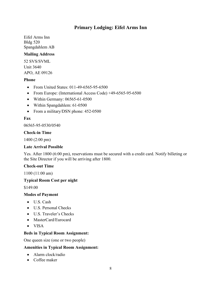# **Primary Lodging: Eifel Arms Inn**

<span id="page-7-0"></span>Eifel Arms Inn Bldg 520 Spangdahlem AB

#### **Mailing Address**

52 SVS/SVML Unit 3640 APO, AE 09126

#### **Phone**

- From United States: 011-49-6565-95-6500
- From Europe: (International Access Code) +49-6565-95-6500
- Within Germany: 06565-61-0500
- Within Spangdahlem: 61-0500
- From a military/DSN phone: 452-0500

#### **Fax**

06565-95-0530/0540

#### **Check-in Time**

1400 (2:00 pm)

#### **Late Arrival Possible**

Yes. After 1800 (6:00 pm), reservations must be secured with a credit card. Notify billeting or the Site Director if you will be arriving after 1800.

#### **Check-out Time**

1100 (11:00 am)

#### **Typical Room Cost per night**

\$149.00

#### **Modes of Payment**

- U.S. Cash
- U.S. Personal Checks
- U.S. Traveler's Checks
- MasterCard/Eurocard
- VISA

#### **Beds in Typical Room Assignment:**

One queen size (one or two people)

#### **Amenities in Typical Room Assignment:**

- Alarm clock/radio
- Coffee maker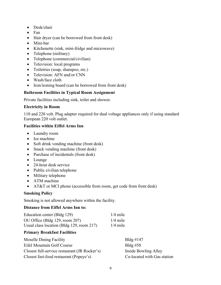- Desk/chair
- Fan
- Hair dryer (can be borrowed from front desk)
- Mini-bar
- Kitchenette (sink, mini-fridge and microwave)
- Telephone (military)
- Telephone (commercial/civilian)
- Television: local programs
- Toiletries (soap, shampoo, etc.)
- Television: AFN and/or CNN
- Wash/face cloth
- Iron/ironing board (can be borrowed from front desk)

#### **Bathroom Facilities in Typical Room Assignment**

Private facilities including sink, toilet and shower.

#### **Electricity in Room**

110 and 220 volt. Plug adapter required for dual voltage appliances only if using standard European 220 volt outlet.

#### **Facilities within Eiffel Arms Inn**

- Laundry room
- Ice machine
- Soft drink vending machine (front desk)
- Snack vending machine (front desk)
- Purchase of incidentals (front desk)
- Lounge
- 24-hour desk service
- Public civilian telephone
- Military telephone
- ATM machine
- AT&T or MCI phone (accessible from room, get code from front desk)

#### **Smoking Policy**

Smoking is not allowed anywhere within the facility.

#### **Distance from Eiffel Arms Inn to:**

| Education center (Bldg 129)               | $1/4$ mile |
|-------------------------------------------|------------|
| OU Office (Bldg 129, room 207)            | $1/4$ mile |
| Usual class location (Bldg 129, room 217) | $1/4$ mile |

## **Primary Breakfast Facilities**

| <b>Moselle Dining Facility</b>                | Bldg $\#147$                |
|-----------------------------------------------|-----------------------------|
| Eifel Mountain Golf Course                    | Bldg $#58$                  |
| Closest full-service restaurant (JR Rocker's) | Inside Bowling Alley        |
| Closest fast-food restaurant (Popeye's)       | Co-located with Gas station |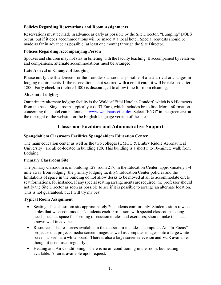## <span id="page-9-0"></span>**Policies Regarding Reservations and Room Assignments**

Reservations must be made in advance as early as possible by the Site Director. "Bumping" DOES occur, but if it does accommodations will be made at a local hotel. Special requests should be made as far in advance as possible (at least one month) through the Site Director.

#### **Policies Regarding Accompanying Person**

Spouses and children may not stay in billeting with the faculty teaching. If accompanied by relatives and companions, alternate accommodations must be arranged.

#### **Late Arrival or Change of Lodging**

Please notify the Site Director or the front desk as soon as possible of a late arrival or changes in lodging requirements. If the reservation is not secured with a credit card, it will be released after 1800. Early check-in (before 1400) is discouraged to allow time for room cleaning.

#### **Alternate Lodging**

Our primary alternate lodging facility is the Waldorf Eifel Hotel in Gondorf, which is 6 kilometers from the base. Single rooms typically cost 53 Euro, which includes breakfast. More information concerning this hotel can be found at [www.waldhaus-eifel.de/.](http://www.waldhaus-eifel.de/) Select "ENG" in the green area at the top right of the website for the English language version of the site.

# **Classroom Facilities and Administrative Support**

#### **Spangdahlem Classroom Facilities Spangdahlem Education Center**

The main education center as well as the two colleges (UMGC & Embry Riddle Aeronautical University), are all co-located in building 129. This building is a short 5 to 10-minute walk from Lodging.

#### **Primary Classroom Site**

The primary classroom is in building 129, room 217, in the Education Center, approximately 1/4 mile away from lodging (the primary lodging facility). Education Center policies and the limitations of space in the building do not allow desks to be moved at all to accommodate circle seat formations, for instance. If any special seating arrangements are required, the professor should notify the Site Director as soon as possible to see if it is possible to arrange an alternate location. This is not guaranteed, but I will try my best.

#### **Typical Room Assignment**

- Seating: The classroom sits approximately 20 students comfortably. Students sit in rows at tables that we accommodate 2 students each. Professors with special classroom seating needs, such as space for forming discussion circles and exercises, should make this need known well in advance.
- Resources: The resources available in the classroom includes a computer. An "In-Focus" projector that projects media screen images as well as computer images onto a largewhite screen, as well as a white board. There is also a large screen television and VCR available, though it is not used regularly.
- Heating and Air Conditioning: There is no air conditioning in the room, but heating is available. A fan is available upon request.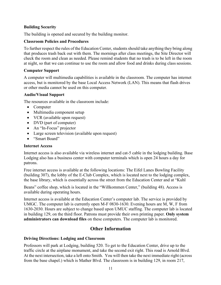#### **Building Security**

The building is opened and secured by the building monitor.

#### **Classroom Policies and Procedures**

To further respect the rules of the Education Center, students should take anything they bring along that produces trash back out with them. The mornings after class meetings, the Site Director will check the room and clean as needed. Please remind students that no trash is to be left in the room at night, so that we can continue to use the room and allow food and drinks during class sessions.

#### **Computer Support**

A computer will multimedia capabilities is available in the classroom. The computer has internet access, but is monitored by the base Local Access Network (LAN). This means that flash drives or other media cannot be used on this computer.

#### **Audio/Visual Support**

The resources available in the classroom include:

- <span id="page-10-0"></span>• Computer
- Multimedia component setup
- VCR (available upon request)
- DVD (part of computer)
- An "In-Focus" projector
- Large screen television (available upon request)
- "Smart Board"

#### **Internet Access**

Internet access is also available via wireless internet and cat-5 cable in the lodging building. Base Lodging also has a business center with computer terminals which is open 24 hours a day for patrons.

Free internet access is available at the following locations: The Eifel Lanes Bowling Facility (building 307), the lobby of the E-Club Complex, which is located next to the lodging complex, the base library, which is essentially across the street from the Education Center and at "Kuhl

Beans" coffee shop, which is located in the "Willkommen Center," (building 48). Access is available during operating hours.

Internet access is available at the Education Center's computer lab. The service is provided by UMGC. The computer lab is currently open M-F 0830-1630. Evening hours are M, W, F from 1630-2030. Hours are subject to change based upon UMUC staffing. The computer lab is located in building 129, on the third floor. Patrons must provide their own printing paper. **Only system administrators can download files** on these computers. The computer lab is monitored.

# **Other Information**

#### **Driving Directions: Lodging and Classroom**

Professors will park at Lodging, building 520. To get to the Education Center, drive up to the traffic circle at the airplane monument, and take the second exit right. This road is Arnold Blvd. At the next intersection, take a left onto Smith. You will then take the next immediate right (across from the base chapel.) which is Mather Blvd. The classroom is in building 129, in room 217,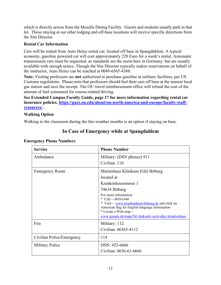which is directly across from the Moselle Dining Facility. Guests and students usually park in that lot. Those staying at our other lodging and off-base locations will receive specific directions from the Site Director.

#### **Rental Car Information**

Cars will be rented from Auto Heinz rental car, located off base in Spangdahlem. A typical economy, gasoline powered car will cost approximately 220 Euro for a week's rental. Automatic transmission cars must be requested, as standards are the norm here in Germany, but are usually available with enough notice. Though the Site Director typically makes reservations on behalf of the instructor, Auto Heinz can be reached at 0049-6565-4388.

**Note:** Visiting professors are **not** authorized to purchase gasoline at military facilities, per US Customs regulations. Please note that professors should fuel their cars off base at the nearest local gas station and save the receipt. The OU travel reimbursement office will refund the cost of the amount of fuel consumed for course-related driving.

**See Extended Campus Faculty Guide, page 17 for more information regarding rental car insurance policies. [https://pacs.ou.edu/about/ou-north-america-and-europe/faculty-staff](https://pacs.ou.edu/about/ou-north-america-and-europe/faculty-staff-resources/)[resources/](https://pacs.ou.edu/about/ou-north-america-and-europe/faculty-staff-resources/) .**

#### **Walking Option**

<span id="page-11-0"></span>Walking to the classroom during the fair-weather months is an option if staying on base.

| <b>Service</b>            | <b>Phone Number</b>                                                     |
|---------------------------|-------------------------------------------------------------------------|
| Ambulance                 | Military: (DSN phones) 911                                              |
|                           | Civilian: 110                                                           |
| <b>Emergency Room</b>     | Marienhaus Klinikum Eifel Bitburg                                       |
|                           | located at                                                              |
|                           | Krankenhausstrasse 1                                                    |
|                           | 54634 Bitburg                                                           |
|                           | For more information:<br>* Call -- $06561640$                           |
|                           | * Visit -- www.krankenhaus-bitburg.de and click on                      |
|                           | American flag for English language information<br>* Locate a Web map -- |
|                           | www.google.de/maps?hl=de&safe=active&q=krankenhaus                      |
| Fire                      | Military: 112                                                           |
|                           | Civilian: 06565-4112                                                    |
| Civilian Police/Emergency | 114                                                                     |
| <b>Military Police</b>    | DSN: 452-6666                                                           |
|                           | Civilian: 0656-61-6666                                                  |

# **In Case of Emergency while at Spangdahlem**

#### **Emergency Phone Numbers**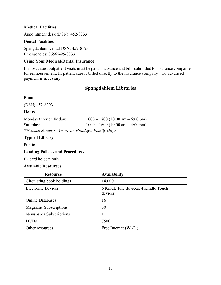#### **Medical Facilities**

Appointment desk (DSN): 452-8333

#### **Dental Facilities**

Spangdahlem Dental DSN: 452-8193 Emergencies: 06565-95-8333

#### **Using Your Medical/Dental Insurance**

<span id="page-12-0"></span>In most cases, outpatient visits must be paid in advance and bills submitted to insurance companies for reimbursement. In-patient care is billed directly to the insurance company—no advanced payment is necessary.

# **Spangdahlem Libraries**

#### **Phone**

(DSN) 452-6203

#### **Hours**

Monday through Friday: 1000 – 1800 (10:00 am – 6:00 pm) Saturday: 1000 – 1600 (10:00 am – 4:00 pm) *\*\*Closed Sundays, American Holidays, Family Days*

## **Type of Library**

Public

#### **Lending Policies and Procedures**

ID card holders only

#### **Available Resources**

| <b>Resource</b>               | <b>Availability</b>                              |
|-------------------------------|--------------------------------------------------|
| Circulating book holdings     | 14,000                                           |
| <b>Electronic Devices</b>     | 6 Kindle Fire devices, 4 Kindle Touch<br>devices |
| <b>Online Databases</b>       | 16                                               |
| <b>Magazine Subscriptions</b> | 30                                               |
| Newspaper Subscriptions       |                                                  |
| <b>DVDs</b>                   | 7500                                             |
| Other resources               | Free Internet (Wi-Fi)                            |